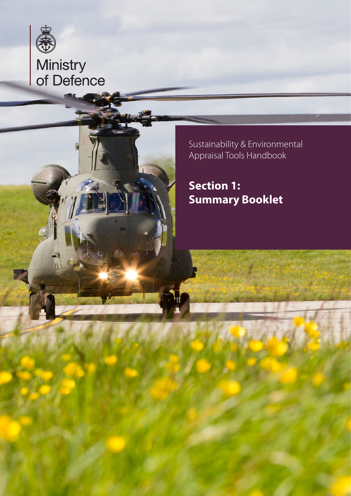

# Ministry<br>of Defence

Sustainability & Environmental Appraisal Tools Handbook

**Section 1: Summary Booklet**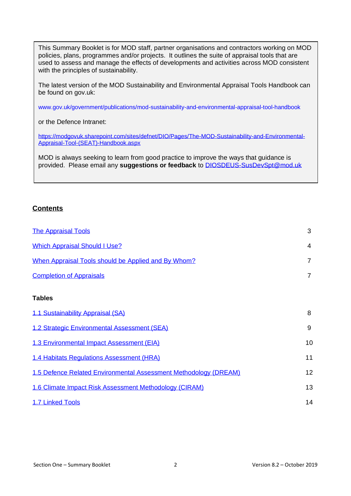This Summary Booklet is for MOD staff, partner organisations and contractors working on MOD policies, plans, programmes and/or projects. It outlines the suite of appraisal tools that are used to assess and manage the effects of developments and activities across MOD consistent with the principles of sustainability.

The latest version of the MOD Sustainability and Environmental Appraisal Tools Handbook can be found on gov.uk:

[www.gov.uk/government/publications/mod-sustainability-and-environmental-appraisal-tool-handbook](http://www.gov.uk/government/publications/mod-sustainability-and-environmental-appraisal-tool-handbook)

or the Defence Intranet:

[https://modgovuk.sharepoint.com/sites/defnet/DIO/Pages/The-MOD-Sustainability-and-Environmental-](https://modgovuk.sharepoint.com/sites/defnet/DIO/Pages/The-MOD-Sustainability-and-Environmental-Appraisal-Tool-(SEAT)-Handbook.aspx)[Appraisal-Tool-\(SEAT\)-Handbook.aspx](https://modgovuk.sharepoint.com/sites/defnet/DIO/Pages/The-MOD-Sustainability-and-Environmental-Appraisal-Tool-(SEAT)-Handbook.aspx)

MOD is always seeking to learn from good practice to improve the ways that guidance is provided. Please email any **suggestions or feedback** to [DIOSDEUS-SusDevSpt@mod.uk](mailto:DIOSDEUS-SusDevSpt@mod.uk)

# **Contents**

| <b>The Appraisal Tools</b>                                       | 3              |
|------------------------------------------------------------------|----------------|
| <b>Which Appraisal Should I Use?</b>                             | $\overline{4}$ |
| When Appraisal Tools should be Applied and By Whom?              | $\overline{7}$ |
| <b>Completion of Appraisals</b>                                  | $\overline{7}$ |
| <b>Tables</b>                                                    |                |
| 1.1 Sustainability Appraisal (SA)                                | 8              |
| 1.2 Strategic Environmental Assessment (SEA)                     | 9              |
| 1.3 Environmental Impact Assessment (EIA)                        | 10             |
| 1.4 Habitats Regulations Assessment (HRA)                        | 11             |
| 1.5 Defence Related Environmental Assessment Methodology (DREAM) | 12             |
| 1.6 Climate Impact Risk Assessment Methodology (CIRAM)           | 13             |
| 1.7 Linked Tools                                                 | 14             |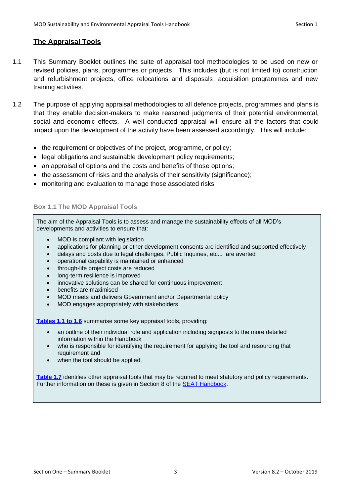# <span id="page-2-0"></span>**The Appraisal Tools**

- 1.1 This Summary Booklet outlines the suite of appraisal tool methodologies to be used on new or revised policies, plans, programmes or projects. This includes (but is not limited to) construction and refurbishment projects, office relocations and disposals, acquisition programmes and new training activities.
- 1.2 The purpose of applying appraisal methodologies to all defence projects, programmes and plans is that they enable decision-makers to make reasoned judgments of their potential environmental, social and economic effects. A well conducted appraisal will ensure all the factors that could impact upon the development of the activity have been assessed accordingly. This will include:
	- the requirement or objectives of the project, programme, or policy;
	- legal obligations and sustainable development policy requirements;
	- an appraisal of options and the costs and benefits of those options;
	- the assessment of risks and the analysis of their sensitivity (significance);
	- monitoring and evaluation to manage those associated risks

## **Box 1.1 The MOD Appraisal Tools**

The aim of the Appraisal Tools is to assess and manage the sustainability effects of all MOD's developments and activities to ensure that:

- MOD is compliant with legislation
- applications for planning or other development consents are identified and supported effectively
- delays and costs due to legal challenges, Public Inquiries, etc... are averted
- operational capability is maintained or enhanced
- through-life project costs are reduced
- long-term resilience is improved
- innovative solutions can be shared for continuous improvement
- benefits are maximised
- MOD meets and delivers Government and/or Departmental policy
- MOD engages appropriately with stakeholders

**[Tables 1.1 to 1.6](#page-8-0)** summarise some key appraisal tools, providing:

- an outline of their individual role and application including signposts to the more detailed information within the Handbook
- who is responsible for identifying the requirement for applying the tool and resourcing that requirement and
- when the tool should be applied.

**[Table 1.7](#page-14-0)** identifies other appraisal tools that may be required to meet statutory and policy requirements. Further information on these is given in Section 8 of the **SEAT Handbook**.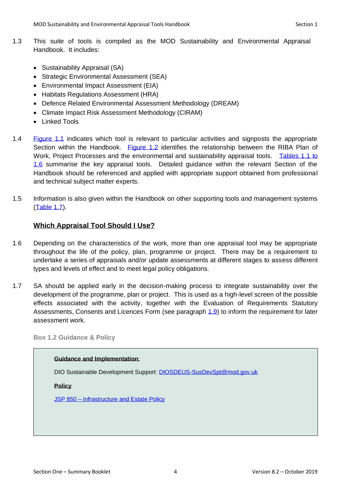- 1.3 This suite of tools is compiled as the MOD Sustainability and Environmental Appraisal Handbook. It includes:
	- Sustainability Appraisal (SA)
	- Strategic Environmental Assessment (SEA)
	- Environmental Impact Assessment (EIA)
	- Habitats Regulations Assessment (HRA)
	- Defence Related Environmental Assessment Methodology (DREAM)
	- Climate Impact Risk Assessment Methodology (CIRAM)
	- Linked Tools
- 1.4 [Figure 1.1](#page-3-1) indicates which tool is relevant to particular activities and signposts the appropriate Section within the Handbook. [Figure 1.2](#page-5-0) identifies the relationship between the RIBA Plan of Work, Project Processes and the environmental and sustainability appraisal tools. Tables 1.1 to [1.6](#page-8-0) summarise the key appraisal tools. Detailed guidance within the relevant Section of the Handbook should be referenced and applied with appropriate support obtained from professional and technical subject matter experts.
- 1.5 Information is also given within the Handbook on other supporting tools and management systems [\(Table 1.7\)](#page-14-0).

# <span id="page-3-0"></span>**Which Appraisal Tool Should I Use?**

- 1.6 Depending on the characteristics of the work, more than one appraisal tool may be appropriate throughout the life of the policy, plan, programme or project. There may be a requirement to undertake a series of appraisals and/or update assessments at different stages to assess different types and levels of effect and to meet legal policy obligations.
- 1.7 SA should be applied early in the decision-making process to integrate sustainability over the development of the programme, plan or project. This is used as a high-level screen of the possible effects associated with the activity, together with the Evaluation of Requirements Statutory Assessments, Consents and Licences Form (see paragraph [1.9\)](#page-6-0) to inform the requirement for later assessment work.

**Box 1.2 Guidance & Policy**

#### **Guidance and Implementation**:

DIO Sustainable Development Support: [DIOSDEUS-SusDevSpt@mod.gov.uk](mailto:DIOSDEUS-SusDevSpt@mod.gov.uk)

**Policy**

<span id="page-3-1"></span>JSP 850 – [Infrastructure and Estate Policy](https://modgovuk.sharepoint.com/sites/defnet/HOCS/Pages/JSP850.aspx)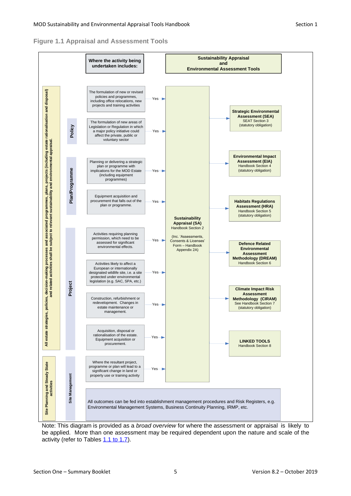



Note: This diagram is provided as a *broad overview* for where the assessment or appraisal is likely to be applied. More than one assessment may be required dependent upon the nature and scale of the activity (refer to Tables [1.1 to 1.7\)](#page-8-0).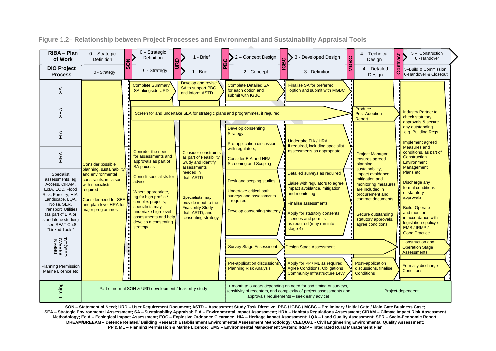| RIBA - Plan<br>of Work                                                                                                                                                                                                                         | $0 -$ Strategic<br>Definition                                                                                                                                                             | 1z<br>$\Omega$ | $0 -$ Strategic<br><b>Definition</b>                                                                                                                                                                                | ۱۵ | 1 - Brief                                                                                                                                | 2 - Concept Design                                                                                                                                                                    | m | 3 - Developed Design                                                                                                                                                                                                                               | <b>MGBC</b> | 4 - Technical<br>Design                                                                                                                                                                                     | act                                                 | 5 - Construction<br>6 - Handover                                                                                                                                                                              |  |
|------------------------------------------------------------------------------------------------------------------------------------------------------------------------------------------------------------------------------------------------|-------------------------------------------------------------------------------------------------------------------------------------------------------------------------------------------|----------------|---------------------------------------------------------------------------------------------------------------------------------------------------------------------------------------------------------------------|----|------------------------------------------------------------------------------------------------------------------------------------------|---------------------------------------------------------------------------------------------------------------------------------------------------------------------------------------|---|----------------------------------------------------------------------------------------------------------------------------------------------------------------------------------------------------------------------------------------------------|-------------|-------------------------------------------------------------------------------------------------------------------------------------------------------------------------------------------------------------|-----------------------------------------------------|---------------------------------------------------------------------------------------------------------------------------------------------------------------------------------------------------------------|--|
| <b>DIO Project</b><br><b>Process</b>                                                                                                                                                                                                           | 0 - Strategy                                                                                                                                                                              | Ιō             | 0 - Strategy                                                                                                                                                                                                        |    | 1 - Brief                                                                                                                                | 2 - Concept                                                                                                                                                                           | O | 3 - Definition                                                                                                                                                                                                                                     |             | 4 - Detailed<br>Design                                                                                                                                                                                      | $\overline{\overline{\overline{\overline{6}}}$<br>ن | 5-Build & Commission<br>6-Handover & Closeout                                                                                                                                                                 |  |
| ୫                                                                                                                                                                                                                                              |                                                                                                                                                                                           |                | <b>Complete Summary</b><br>SA alongside URD                                                                                                                                                                         |    | Develop and revise<br>SA to support PBC<br>and inform ASTD                                                                               | <b>Complete Detailed SA</b><br>for each option and<br>submit with IGBC                                                                                                                |   | Finalise SA for preferred<br>option and submit with MGBC                                                                                                                                                                                           |             |                                                                                                                                                                                                             |                                                     |                                                                                                                                                                                                               |  |
| SEA                                                                                                                                                                                                                                            |                                                                                                                                                                                           |                |                                                                                                                                                                                                                     |    |                                                                                                                                          | Screen for and undertake SEA for strategic plans and programmes, if required                                                                                                          |   |                                                                                                                                                                                                                                                    |             | Produce<br>Post-Adoption<br>Report                                                                                                                                                                          |                                                     | <b>Industry Partner to</b><br>check statutory<br>approvals & secure                                                                                                                                           |  |
| ΕIΑ                                                                                                                                                                                                                                            |                                                                                                                                                                                           |                |                                                                                                                                                                                                                     |    |                                                                                                                                          | <b>Develop consenting</b><br><b>Strategy</b><br>Pre-application discussion                                                                                                            |   | <b>Undertake EIA / HRA</b><br>if required, including specialist                                                                                                                                                                                    |             |                                                                                                                                                                                                             |                                                     | any outstanding<br>e.g. Building Regs<br>Implement agreed                                                                                                                                                     |  |
| HRA                                                                                                                                                                                                                                            | <b>Consider possible</b>                                                                                                                                                                  |                | Consider the need<br>for assessments and<br>approvals as part of<br><b>SA process</b>                                                                                                                               |    | <b>Consider constraints</b><br>as part of Feasibility<br>Study and identify<br>assessments                                               | with regulators,<br><b>Consider EIA and HRA</b><br><b>Screening and Scoping</b>                                                                                                       |   | assessments as appropriate                                                                                                                                                                                                                         |             | <b>Project Manager</b><br>ensures agreed<br>planning,                                                                                                                                                       |                                                     | Measures and<br>conditions, as part of<br>Construction<br>Environment<br>Management                                                                                                                           |  |
| Specialist<br>assessments, eq<br>Access, CIRAM,<br>EcIA, EOC, Flood<br>Risk, Forestry, HIA,<br>Landscape, LQA,<br>Noise, SER,<br><b>Transport, Utilities</b><br>(as part of EIA or<br>standalone studies)<br>- see SEAT Ch.8<br>"Linked Tools" | planning, sustainability<br>and environmental<br>constraints, in liaison<br>with specialists if<br>required<br><b>Consider need for SEA</b><br>and plan-level HRA for<br>major programmes |                | <b>Consult specialists for</b><br>advice<br>Where appropriate,<br>eg for high profile /<br>complex projects,<br>specialists may<br>undertake high-level<br>assessments and help<br>develop a consenting<br>strategy |    | needed in<br>draft ASTD<br>Specialists may<br>provide input to the<br><b>Feasibility Study</b><br>draft ASTD, and<br>consenting strategy | Desk and scoping studies<br>Undertake critical path<br>surveys and assessments<br>if required<br>Develop consenting strategy [                                                        |   | Detailed surveys as required<br>Liaise with regulators to agree<br>impact avoidance, mitigation<br>and monitoring<br><b>Finalise assessments</b><br>Apply for statutory consents,<br>licences and permits<br>as required (may run into<br>stage 4) |             | sustainability,<br>impact avoidance,<br>mitigation and<br>monitoring measures<br>are included in<br>procurement and<br>contract documents<br>Secure outstanding<br>statutory approvals,<br>agree conditions |                                                     | Plans etc.<br>Discharge any<br>formal conditions<br>of statutory<br>approvals<br><b>Build, Operate</b><br>and monitor<br>in accordance with<br>legislation / policy /<br>EMS / IRMP /<br><b>Good Practice</b> |  |
| DREAM<br>BREEAM<br>CEEQUAL                                                                                                                                                                                                                     |                                                                                                                                                                                           |                |                                                                                                                                                                                                                     |    |                                                                                                                                          | <b>Survey Stage Assessment</b>                                                                                                                                                        |   | <b>Design Stage Assessment</b>                                                                                                                                                                                                                     |             |                                                                                                                                                                                                             |                                                     | <b>Construction and</b><br><b>Operation Stage</b><br><b>Assessments</b>                                                                                                                                       |  |
| <b>Planning Permission</b><br>Marine Licence etc                                                                                                                                                                                               |                                                                                                                                                                                           |                |                                                                                                                                                                                                                     |    |                                                                                                                                          | Pre-application discussions<br><b>Planning Risk Analysis</b>                                                                                                                          |   | Apply for PP / ML as required<br><b>Agree Conditions, Obligations</b><br><b>Community Infrastructure Levy</b>                                                                                                                                      |             | Post-application<br>discussions, finalise<br><b>Conditions</b>                                                                                                                                              |                                                     | Formally discharge<br><b>Conditions</b>                                                                                                                                                                       |  |
| Timing                                                                                                                                                                                                                                         | Part of normal SON & URD development / feasibility study                                                                                                                                  |                |                                                                                                                                                                                                                     |    |                                                                                                                                          | 1 month to 3 years depending on need for and timing of surveys,<br>sensitivity of receptors, and complexity of project assessments and<br>approvals requirements - seek early advice! |   |                                                                                                                                                                                                                                                    |             | Project-dependent                                                                                                                                                                                           |                                                     |                                                                                                                                                                                                               |  |

**Figure 1.2– Relationship between Project Processes and Environmental and Sustainability Appraisal Tools**

<span id="page-5-0"></span>SON - Statement of Need; URD - User Requirement Document; ASTD - Assessment Study Task Directive; PBC / IGBC / MGBC - Preliminary / Initial Gate / Main Gate Business Case; SEA - Strategic Environmental Assessment; SA - Sustainability Appraisal; EIA - Environmental Impact Assessment; HRA - Habitats Regulations Assessment; CIRAM - Climate Impact Risk Assessment Methodology; EcIA - Ecological Impact Assessment; EOC - Explosive Ordnance Clearance; HIA - Heritage Impact Assessment; LQA - Land Quality Assessment; SER - Socio-Economic Report; DREAM/BREEAM - Defence Related/ Building Research Establishment Environmental Assessment Methodology; CEEQUAL - Civil Engineering Environmental Quality Assessment; PP & ML - Planning Permission & Marine Licence; EMS - Environmental Management System; IRMP - Integrated Rural Management Plan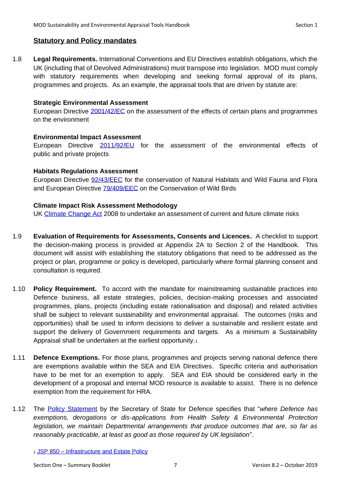## **Statutory and Policy mandates**

1.8 **Legal Requirements.** International Conventions and EU Directives establish obligations, which the UK (including that of Devolved Administrations) must transpose into legislation. MOD must comply with statutory requirements when developing and seeking formal approval of its plans, programmes and projects. As an example, the appraisal tools that are driven by statute are:

#### **Strategic Environmental Assessment**

European Directive [2001/42/EC](http://ec.europa.eu/environment/eia/sea-legalcontext.htm) on the assessment of the effects of certain plans and programmes on the environment

## **Environmental Impact Assessment**

European Directive [2011/92/EU](http://eur-lex.europa.eu/LexUriServ/LexUriServ.do?uri=OJ:L:2012:026:0001:0021:En:PDF) for the assessment of the environmental effects of public and private projects

## **Habitats Regulations Assessment**

European Directive [92/43/EEC](http://ec.europa.eu/environment/nature/legislation/habitatsdirective/index_en.htm) for the conservation of Natural Habitats and Wild Fauna and Flora and European Directive **79/409/EEC** on the Conservation of Wild Birds

## **Climate Impact Risk Assessment Methodology**

UK [Climate Change Act](http://www.legislation.gov.uk/ukpga/2008/27/contents) 2008 to undertake an assessment of current and future climate risks

- <span id="page-6-0"></span>1.9 **Evaluation of Requirements for Assessments, Consents and Licences.** A checklist to support the decision-making process is provided at Appendix 2A to Section 2 of the Handbook. This document will assist with establishing the statutory obligations that need to be addressed as the project or plan, programme or policy is developed, particularly where formal planning consent and consultation is required.
- 1.10 **Policy Requirement.** To accord with the mandate for mainstreaming sustainable practices into Defence business, all estate strategies, policies, decision-making processes and associated programmes, plans, projects (including estate rationalisation and disposal) and related activities shall be subject to relevant sustainability and environmental appraisal. The outcomes (risks and opportunities) shall be used to inform decisions to deliver a sustainable and resilient estate and support the delivery of Government requirements and targets. As a minimum a Sustainability Appraisal shall be undertaken at the earliest opportunity.<sup>1</sup>
- 1.11 **Defence Exemptions.** For those plans, programmes and projects serving national defence there are exemptions available within the SEA and EIA Directives. Specific criteria and authorisation have to be met for an exemption to apply. SEA and EIA should be considered early in the development of a proposal and internal MOD resource is available to assist. There is no defence exemption from the requirement for HRA.
- 1.12 The [Policy Statement](https://www.gov.uk/government/uploads/system/uploads/attachment_data/file/353935/201408_SofS_Policy_Statement_Fallon.pdf) by the Secretary of State for Defence specifies that "*where Defence has exemptions, derogations or dis-applications from Health Safety & Environmental Protection legislation, we maintain Departmental arrangements that produce outcomes that are, so far as reasonably practicable, at least as good as those required by UK legislation*".

<sup>1</sup> JSP 850 – [Infrastructure and Estate Policy](https://modgovuk.sharepoint.com/sites/defnet/HOCS/Pages/JSP850.aspx)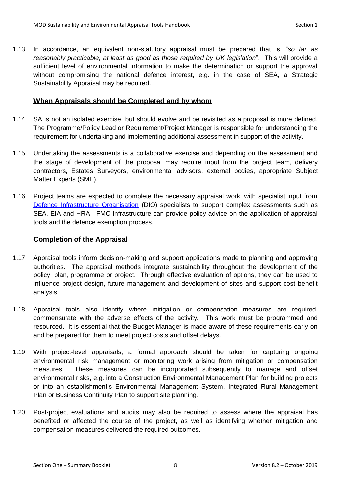1.13 In accordance, an equivalent non-statutory appraisal must be prepared that is, "*so far as reasonably practicable, at least as good as those required by UK legislation*". This will provide a sufficient level of environmental information to make the determination or support the approval without compromising the national defence interest, e.g. in the case of SEA, a Strategic Sustainability Appraisal may be required.

# <span id="page-7-0"></span>**When Appraisals should be Completed and by whom**

- 1.14 SA is not an isolated exercise, but should evolve and be revisited as a proposal is more defined. The Programme/Policy Lead or Requirement/Project Manager is responsible for understanding the requirement for undertaking and implementing additional assessment in support of the activity.
- 1.15 Undertaking the assessments is a collaborative exercise and depending on the assessment and the stage of development of the proposal may require input from the project team, delivery contractors, Estates Surveyors, environmental advisors, external bodies, appropriate Subject Matter Experts (SME).
- 1.16 Project teams are expected to complete the necessary appraisal work, with specialist input from [Defence Infrastructure Organisation](mailto:DIOSDEUS-SusDevSpt@mod.uk) (DIO) specialists to support complex assessments such as SEA, EIA and HRA. [FMC Infrastructure](mailto:FMC-Cap-InfraPolSustEste@mod.uk) can provide policy advice on the application of appraisal tools and the defence exemption process.

# <span id="page-7-1"></span>**Completion of the Appraisal**

- 1.17 Appraisal tools inform decision-making and support applications made to planning and approving authorities. The appraisal methods integrate sustainability throughout the development of the policy, plan, programme or project. Through effective evaluation of options, they can be used to influence project design, future management and development of sites and support cost benefit analysis.
- 1.18 Appraisal tools also identify where mitigation or compensation measures are required, commensurate with the adverse effects of the activity. This work must be programmed and resourced. It is essential that the Budget Manager is made aware of these requirements early on and be prepared for them to meet project costs and offset delays.
- 1.19 With project-level appraisals, a formal approach should be taken for capturing ongoing environmental risk management or monitoring work arising from mitigation or compensation measures. These measures can be incorporated subsequently to manage and offset environmental risks, e.g. into a Construction Environmental Management Plan for building projects or into an establishment's Environmental Management System, Integrated Rural Management Plan or Business Continuity Plan to support site planning.
- 1.20 Post-project evaluations and audits may also be required to assess where the appraisal has benefited or affected the course of the project, as well as identifying whether mitigation and compensation measures delivered the required outcomes.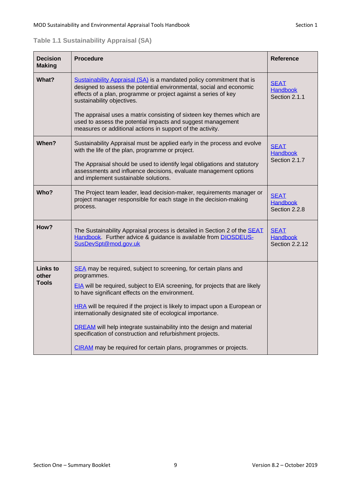<span id="page-8-0"></span>

| <b>Decision</b><br><b>Making</b> | <b>Procedure</b>                                                                                                                                                                                                                              | <b>Reference</b>                                        |  |  |
|----------------------------------|-----------------------------------------------------------------------------------------------------------------------------------------------------------------------------------------------------------------------------------------------|---------------------------------------------------------|--|--|
| What?                            | Sustainability Appraisal (SA) is a mandated policy commitment that is<br>designed to assess the potential environmental, social and economic<br>effects of a plan, programme or project against a series of key<br>sustainability objectives. | <b>SEAT</b><br><b>Handbook</b><br>Section 2.1.1         |  |  |
|                                  | The appraisal uses a matrix consisting of sixteen key themes which are<br>used to assess the potential impacts and suggest management<br>measures or additional actions in support of the activity.                                           |                                                         |  |  |
| When?                            | Sustainability Appraisal must be applied early in the process and evolve<br>with the life of the plan, programme or project.                                                                                                                  | <b>SEAT</b><br><b>Handbook</b>                          |  |  |
|                                  | The Appraisal should be used to identify legal obligations and statutory<br>assessments and influence decisions, evaluate management options<br>and implement sustainable solutions.                                                          | Section 2.1.7                                           |  |  |
| Who?                             | The Project team leader, lead decision-maker, requirements manager or<br>project manager responsible for each stage in the decision-making<br>process.                                                                                        | <b>SEAT</b><br><b>Handbook</b><br>Section 2.2.8         |  |  |
| How?                             | The Sustainability Appraisal process is detailed in Section 2 of the SEAT<br>Handbook. Further advice & guidance is available from DIOSDEUS-<br>SusDevSpt@mod.gov.uk                                                                          | <b>SEAT</b><br><b>Handbook</b><br><b>Section 2.2.12</b> |  |  |
| Links to<br>other                | SEA may be required, subject to screening, for certain plans and<br>programmes.                                                                                                                                                               |                                                         |  |  |
| <b>Tools</b>                     | EIA will be required, subject to EIA screening, for projects that are likely<br>to have significant effects on the environment.                                                                                                               |                                                         |  |  |
|                                  | <b>HRA</b> will be required if the project is likely to impact upon a European or<br>internationally designated site of ecological importance.                                                                                                |                                                         |  |  |
|                                  | <b>DREAM</b> will help integrate sustainability into the design and material<br>specification of construction and refurbishment projects.                                                                                                     |                                                         |  |  |
|                                  | CIRAM may be required for certain plans, programmes or projects.                                                                                                                                                                              |                                                         |  |  |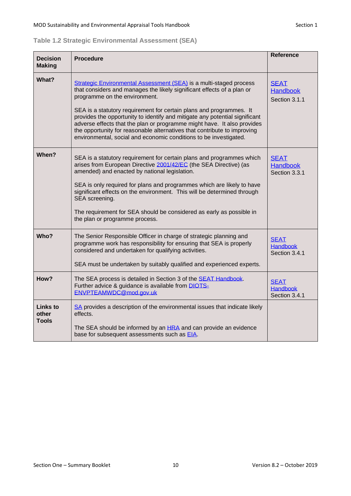<span id="page-9-0"></span>

|  |  | Table 1.2 Strategic Environmental Assessment (SEA) |  |  |
|--|--|----------------------------------------------------|--|--|
|--|--|----------------------------------------------------|--|--|

| <b>Decision</b><br><b>Making</b>  | <b>Procedure</b>                                                                                                                                                                                                                                                                                                                                                                                                                                                                                                                                                | <b>Reference</b>                                |
|-----------------------------------|-----------------------------------------------------------------------------------------------------------------------------------------------------------------------------------------------------------------------------------------------------------------------------------------------------------------------------------------------------------------------------------------------------------------------------------------------------------------------------------------------------------------------------------------------------------------|-------------------------------------------------|
| What?                             | Strategic Environmental Assessment (SEA) is a multi-staged process<br>that considers and manages the likely significant effects of a plan or<br>programme on the environment.<br>SEA is a statutory requirement for certain plans and programmes. It<br>provides the opportunity to identify and mitigate any potential significant<br>adverse effects that the plan or programme might have. It also provides<br>the opportunity for reasonable alternatives that contribute to improving<br>environmental, social and economic conditions to be investigated. | <b>SEAT</b><br><b>Handbook</b><br>Section 3.1.1 |
| When?                             | SEA is a statutory requirement for certain plans and programmes which<br>arises from European Directive 2001/42/EC (the SEA Directive) (as<br>amended) and enacted by national legislation.<br>SEA is only required for plans and programmes which are likely to have<br>significant effects on the environment. This will be determined through<br>SEA screening.<br>The requirement for SEA should be considered as early as possible in<br>the plan or programme process.                                                                                    | <b>SEAT</b><br><b>Handbook</b><br>Section 3.3.1 |
| Who?                              | The Senior Responsible Officer in charge of strategic planning and<br>programme work has responsibility for ensuring that SEA is properly<br>considered and undertaken for qualifying activities.<br>SEA must be undertaken by suitably qualified and experienced experts.                                                                                                                                                                                                                                                                                      | <b>SEAT</b><br><b>Handbook</b><br>Section 3.4.1 |
| How?                              | The SEA process is detailed in Section 3 of the <b>SEAT Handbook</b> .<br>Further advice & guidance is available from DIOTS-<br>ENVPTEAMWDC@mod.gov.uk                                                                                                                                                                                                                                                                                                                                                                                                          | <b>SEAT</b><br><b>Handbook</b><br>Section 3.4.1 |
| Links to<br>other<br><b>Tools</b> | SA provides a description of the environmental issues that indicate likely<br>effects.<br>The SEA should be informed by an HRA and can provide an evidence<br>base for subsequent assessments such as EIA.                                                                                                                                                                                                                                                                                                                                                      |                                                 |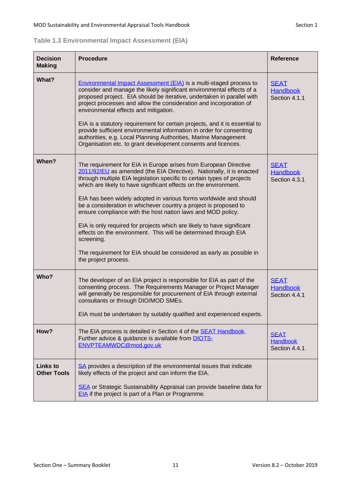<span id="page-10-0"></span>

| <b>Decision</b><br><b>Making</b>      | <b>Procedure</b>                                                                                                                                                                                                                                                                                                                                                                                                                                                                                                                                                                                                                                                                                                                                          | <b>Reference</b>                                |
|---------------------------------------|-----------------------------------------------------------------------------------------------------------------------------------------------------------------------------------------------------------------------------------------------------------------------------------------------------------------------------------------------------------------------------------------------------------------------------------------------------------------------------------------------------------------------------------------------------------------------------------------------------------------------------------------------------------------------------------------------------------------------------------------------------------|-------------------------------------------------|
| What?                                 | Environmental Impact Assessment (EIA) is a multi-staged process to<br>consider and manage the likely significant environmental effects of a<br>proposed project. EIA should be iterative, undertaken in parallel with<br>project processes and allow the consideration and incorporation of<br>environmental effects and mitigation.<br>EIA is a statutory requirement for certain projects, and it is essential to<br>provide sufficient environmental information in order for consenting<br>authorities, e.g. Local Planning Authorities, Marine Management<br>Organisation etc. to grant development consents and licences.                                                                                                                           | <b>SEAT</b><br><b>Handbook</b><br>Section 4.1.1 |
| When?                                 | The requirement for EIA in Europe arises from European Directive<br>2011/92/EU as amended (the EIA Directive). Nationally, it is enacted<br>through multiple EIA legislation specific to certain types of projects<br>which are likely to have significant effects on the environment.<br>EIA has been widely adopted in various forms worldwide and should<br>be a consideration in whichever country a project is proposed to<br>ensure compliance with the host nation laws and MOD policy.<br>EIA is only required for projects which are likely to have significant<br>effects on the environment. This will be determined through EIA<br>screening.<br>The requirement for EIA should be considered as early as possible in<br>the project process. | <b>SEAT</b><br><b>Handbook</b><br>Section 4.3.1 |
| Who?                                  | The developer of an EIA project is responsible for EIA as part of the<br>consenting process. The Requirements Manager or Project Manager<br>will generally be responsible for procurement of EIA through external<br>consultants or through DIO/MOD SMEs.<br>EIA must be undertaken by suitably qualified and experienced experts.                                                                                                                                                                                                                                                                                                                                                                                                                        | <b>SEAT</b><br><b>Handbook</b><br>Section 4.4.1 |
| How?                                  | The EIA process is detailed in Section 4 of the <b>SEAT Handbook</b> .<br>Further advice & guidance is available from DIOTS-<br>ENVPTEAMWDC@mod.gov.uk                                                                                                                                                                                                                                                                                                                                                                                                                                                                                                                                                                                                    | <b>SEAT</b><br><b>Handbook</b><br>Section 4.4.1 |
| <b>Links to</b><br><b>Other Tools</b> | SA provides a description of the environmental issues that indicate<br>likely effects of the project and can inform the EIA.<br>SEA or Strategic Sustainability Appraisal can provide baseline data for<br>EIA if the project is part of a Plan or Programme.                                                                                                                                                                                                                                                                                                                                                                                                                                                                                             |                                                 |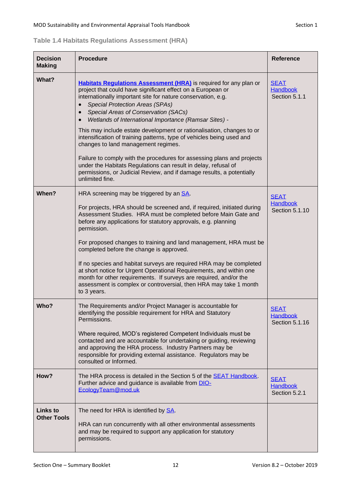<span id="page-11-0"></span>

| <b>Decision</b><br><b>Making</b> | <b>Procedure</b>                                                                                                                                                                                                                                                                                                                                                      | <b>Reference</b>                                 |
|----------------------------------|-----------------------------------------------------------------------------------------------------------------------------------------------------------------------------------------------------------------------------------------------------------------------------------------------------------------------------------------------------------------------|--------------------------------------------------|
| What?                            | Habitats Regulations Assessment (HRA) is required for any plan or<br>project that could have significant effect on a European or<br>internationally important site for nature conservation, e.g.<br><b>Special Protection Areas (SPAs)</b><br>Special Areas of Conservation (SACs)<br>$\bullet$<br>Wetlands of International Importance (Ramsar Sites) -<br>$\bullet$ | <b>SEAT</b><br><b>Handbook</b><br>Section 5.1.1  |
|                                  | This may include estate development or rationalisation, changes to or<br>intensification of training patterns, type of vehicles being used and<br>changes to land management regimes.                                                                                                                                                                                 |                                                  |
|                                  | Failure to comply with the procedures for assessing plans and projects<br>under the Habitats Regulations can result in delay, refusal of<br>permissions, or Judicial Review, and if damage results, a potentially<br>unlimited fine.                                                                                                                                  |                                                  |
| When?                            | HRA screening may be triggered by an SA.                                                                                                                                                                                                                                                                                                                              | <b>SEAT</b>                                      |
|                                  | For projects, HRA should be screened and, if required, initiated during<br>Assessment Studies. HRA must be completed before Main Gate and<br>before any applications for statutory approvals, e.g. planning<br>permission.                                                                                                                                            | <b>Handbook</b><br>Section 5.1.10                |
|                                  | For proposed changes to training and land management, HRA must be<br>completed before the change is approved.                                                                                                                                                                                                                                                         |                                                  |
|                                  | If no species and habitat surveys are required HRA may be completed<br>at short notice for Urgent Operational Requirements, and within one<br>month for other requirements. If surveys are required, and/or the<br>assessment is complex or controversial, then HRA may take 1 month<br>to 3 years.                                                                   |                                                  |
| Who?                             | The Requirements and/or Project Manager is accountable for<br>identifying the possible requirement for HRA and Statutory<br>Permissions.                                                                                                                                                                                                                              | <u>SEAT</u><br><b>Handbook</b><br>Section 5.1.16 |
|                                  | Where required, MOD's registered Competent Individuals must be<br>contacted and are accountable for undertaking or guiding, reviewing<br>and approving the HRA process. Industry Partners may be<br>responsible for providing external assistance. Regulators may be<br>consulted or Informed.                                                                        |                                                  |
| How?                             | The HRA process is detailed in the Section 5 of the SEAT Handbook.<br>Further advice and guidance is available from DIO-<br>EcologyTeam@mod.uk                                                                                                                                                                                                                        | <b>SEAT</b><br><b>Handbook</b><br>Section 5.2.1  |
| Links to<br><b>Other Tools</b>   | The need for HRA is identified by <b>SA</b> .<br>HRA can run concurrently with all other environmental assessments<br>and may be required to support any application for statutory<br>permissions.                                                                                                                                                                    |                                                  |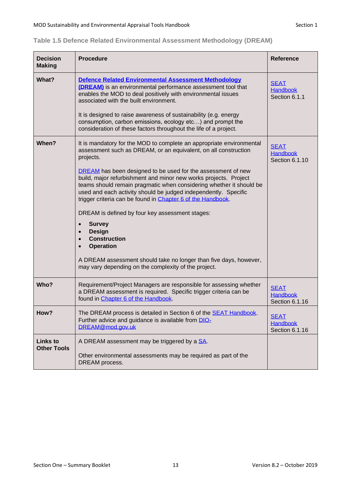| <b>Decision</b><br><b>Making</b>      | <b>Procedure</b>                                                                                                                                                                                                                                                                                                                          | <b>Reference</b>                                 |
|---------------------------------------|-------------------------------------------------------------------------------------------------------------------------------------------------------------------------------------------------------------------------------------------------------------------------------------------------------------------------------------------|--------------------------------------------------|
| What?                                 | Defence Related Environmental Assessment Methodology<br>(DREAM) is an environmental performance assessment tool that<br>enables the MOD to deal positively with environmental issues<br>associated with the built environment.                                                                                                            | <b>SEAT</b><br><b>Handbook</b><br>Section 6.1.1  |
|                                       | It is designed to raise awareness of sustainability (e.g. energy<br>consumption, carbon emissions, ecology etc) and prompt the<br>consideration of these factors throughout the life of a project.                                                                                                                                        |                                                  |
| When?                                 | It is mandatory for the MOD to complete an appropriate environmental<br>assessment such as DREAM, or an equivalent, on all construction<br>projects.                                                                                                                                                                                      | <b>SEAT</b><br><b>Handbook</b><br>Section 6.1.10 |
|                                       | DREAM has been designed to be used for the assessment of new<br>build, major refurbishment and minor new works projects. Project<br>teams should remain pragmatic when considering whether it should be<br>used and each activity should be judged independently. Specific<br>trigger criteria can be found in Chapter 6 of the Handbook. |                                                  |
|                                       | DREAM is defined by four key assessment stages:                                                                                                                                                                                                                                                                                           |                                                  |
|                                       | <b>Survey</b><br>$\bullet$<br><b>Design</b><br>$\bullet$<br><b>Construction</b><br><b>Operation</b>                                                                                                                                                                                                                                       |                                                  |
|                                       | A DREAM assessment should take no longer than five days, however,<br>may vary depending on the complexity of the project.                                                                                                                                                                                                                 |                                                  |
| Who?                                  | Requirement/Project Managers are responsible for assessing whether<br>a DREAM assessment is required. Specific trigger criteria can be<br>found in Chapter 6 of the Handbook.                                                                                                                                                             | <b>SEAT</b><br><b>Handbook</b><br>Section 6.1.16 |
| How?                                  | The DREAM process is detailed in Section 6 of the <b>SEAT Handbook</b> .<br>Further advice and guidance is available from DIO-<br>DREAM@mod.gov.uk                                                                                                                                                                                        | <b>SEAT</b><br>Handbook<br>Section 6.1.16        |
| <b>Links to</b><br><b>Other Tools</b> | A DREAM assessment may be triggered by a SA.                                                                                                                                                                                                                                                                                              |                                                  |
|                                       | Other environmental assessments may be required as part of the<br>DREAM process.                                                                                                                                                                                                                                                          |                                                  |

# <span id="page-12-0"></span>**Table 1.5 Defence Related Environmental Assessment Methodology (DREAM)**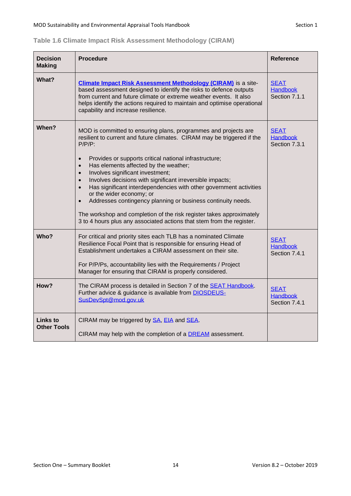<span id="page-13-0"></span>

| Table 1.6 Climate Impact Risk Assessment Methodology (CIRAM) |  |  |  |
|--------------------------------------------------------------|--|--|--|
|--------------------------------------------------------------|--|--|--|

| <b>Decision</b><br><b>Making</b>      | <b>Procedure</b>                                                                                                                                                                                                                                                                                                                                                                                                                                                                                                                                                                                                                                                                                                                                | <b>Reference</b>                                |
|---------------------------------------|-------------------------------------------------------------------------------------------------------------------------------------------------------------------------------------------------------------------------------------------------------------------------------------------------------------------------------------------------------------------------------------------------------------------------------------------------------------------------------------------------------------------------------------------------------------------------------------------------------------------------------------------------------------------------------------------------------------------------------------------------|-------------------------------------------------|
| What?                                 | <b>Climate Impact Risk Assessment Methodology (CIRAM)</b> is a site-<br>based assessment designed to identify the risks to defence outputs<br>from current and future climate or extreme weather events. It also<br>helps identify the actions required to maintain and optimise operational<br>capability and increase resilience.                                                                                                                                                                                                                                                                                                                                                                                                             | <b>SEAT</b><br><b>Handbook</b><br>Section 7.1.1 |
| When?                                 | MOD is committed to ensuring plans, programmes and projects are<br>resilient to current and future climates. CIRAM may be triggered if the<br>$P/P/P$ :<br>Provides or supports critical national infrastructure;<br>$\bullet$<br>Has elements affected by the weather;<br>$\bullet$<br>Involves significant investment;<br>$\bullet$<br>Involves decisions with significant irreversible impacts;<br>$\bullet$<br>Has significant interdependencies with other government activities<br>$\bullet$<br>or the wider economy; or<br>Addresses contingency planning or business continuity needs.<br>The workshop and completion of the risk register takes approximately<br>3 to 4 hours plus any associated actions that stem from the register. | <b>SEAT</b><br><b>Handbook</b><br>Section 7.3.1 |
| Who?                                  | For critical and priority sites each TLB has a nominated Climate<br>Resilience Focal Point that is responsible for ensuring Head of<br>Establishment undertakes a CIRAM assessment on their site.<br>For P/P/Ps, accountability lies with the Requirements / Project<br>Manager for ensuring that CIRAM is properly considered.                                                                                                                                                                                                                                                                                                                                                                                                                 | <b>SEAT</b><br><b>Handbook</b><br>Section 7.4.1 |
| How?                                  | The CIRAM process is detailed in Section 7 of the <b>SEAT Handbook</b> .<br>Further advice & guidance is available from <b>DIOSDEUS-</b><br>SusDevSpt@mod.gov.uk                                                                                                                                                                                                                                                                                                                                                                                                                                                                                                                                                                                | <b>SEAT</b><br><b>Handbook</b><br>Section 7.4.1 |
| <b>Links</b> to<br><b>Other Tools</b> | CIRAM may be triggered by SA, EIA and SEA.<br>CIRAM may help with the completion of a DREAM assessment.                                                                                                                                                                                                                                                                                                                                                                                                                                                                                                                                                                                                                                         |                                                 |